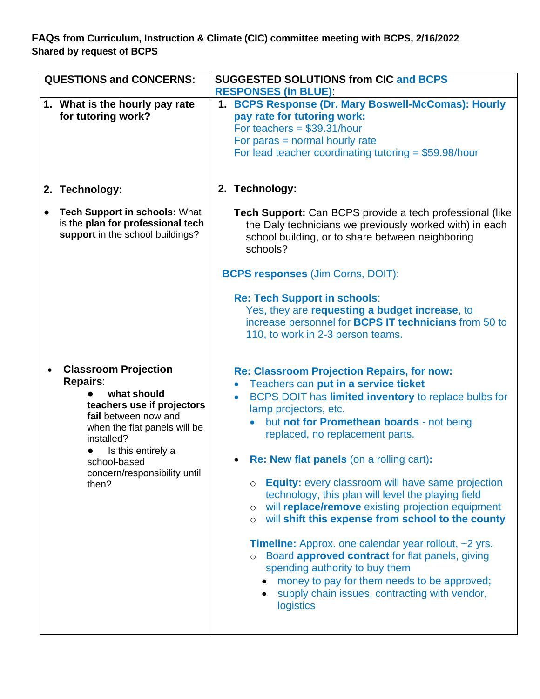**FAQs from Curriculum, Instruction & Climate (CIC) committee meeting with BCPS, 2/16/2022 Shared by request of BCPS**

| <b>QUESTIONS and CONCERNS:</b>                                                                                                                                                                                                                   | <b>SUGGESTED SOLUTIONS from CIC and BCPS</b><br><b>RESPONSES (in BLUE):</b>                                                                                                                                                                                                                                                                                                                                                                                                                                                                                                                                                                                                                                                                                                                                                                                                                                                                                                                                                                    |
|--------------------------------------------------------------------------------------------------------------------------------------------------------------------------------------------------------------------------------------------------|------------------------------------------------------------------------------------------------------------------------------------------------------------------------------------------------------------------------------------------------------------------------------------------------------------------------------------------------------------------------------------------------------------------------------------------------------------------------------------------------------------------------------------------------------------------------------------------------------------------------------------------------------------------------------------------------------------------------------------------------------------------------------------------------------------------------------------------------------------------------------------------------------------------------------------------------------------------------------------------------------------------------------------------------|
| 1. What is the hourly pay rate<br>for tutoring work?                                                                                                                                                                                             | 1. BCPS Response (Dr. Mary Boswell-McComas): Hourly<br>pay rate for tutoring work:<br>For teachers = $$39.31/hour$<br>For paras $=$ normal hourly rate<br>For lead teacher coordinating tutoring = $$59.98/hour$                                                                                                                                                                                                                                                                                                                                                                                                                                                                                                                                                                                                                                                                                                                                                                                                                               |
| 2. Technology:                                                                                                                                                                                                                                   | 2. Technology:                                                                                                                                                                                                                                                                                                                                                                                                                                                                                                                                                                                                                                                                                                                                                                                                                                                                                                                                                                                                                                 |
| <b>Tech Support in schools: What</b><br>is the plan for professional tech<br>support in the school buildings?                                                                                                                                    | <b>Tech Support:</b> Can BCPS provide a tech professional (like<br>the Daly technicians we previously worked with) in each<br>school building, or to share between neighboring<br>schools?                                                                                                                                                                                                                                                                                                                                                                                                                                                                                                                                                                                                                                                                                                                                                                                                                                                     |
|                                                                                                                                                                                                                                                  | <b>BCPS responses (Jim Corns, DOIT):</b>                                                                                                                                                                                                                                                                                                                                                                                                                                                                                                                                                                                                                                                                                                                                                                                                                                                                                                                                                                                                       |
| <b>Classroom Projection</b><br><b>Repairs:</b><br>what should<br>teachers use if projectors<br>fail between now and<br>when the flat panels will be<br>installed?<br>Is this entirely a<br>school-based<br>concern/responsibility until<br>then? | <b>Re: Tech Support in schools:</b><br>Yes, they are requesting a budget increase, to<br>increase personnel for <b>BCPS IT technicians</b> from 50 to<br>110, to work in 2-3 person teams.<br><b>Re: Classroom Projection Repairs, for now:</b><br>Teachers can put in a service ticket<br>BCPS DOIT has limited inventory to replace bulbs for<br>lamp projectors, etc.<br>but not for Promethean boards - not being<br>replaced, no replacement parts.<br>• Re: New flat panels (on a rolling cart):<br>Equity: every classroom will have same projection<br>$\circ$<br>technology, this plan will level the playing field<br>will replace/remove existing projection equipment<br>$\circ$<br>will shift this expense from school to the county<br>$\circ$<br><b>Timeline:</b> Approx. one calendar year rollout, $\sim$ 2 yrs.<br>Board approved contract for flat panels, giving<br>$\circ$<br>spending authority to buy them<br>money to pay for them needs to be approved;<br>supply chain issues, contracting with vendor,<br>logistics |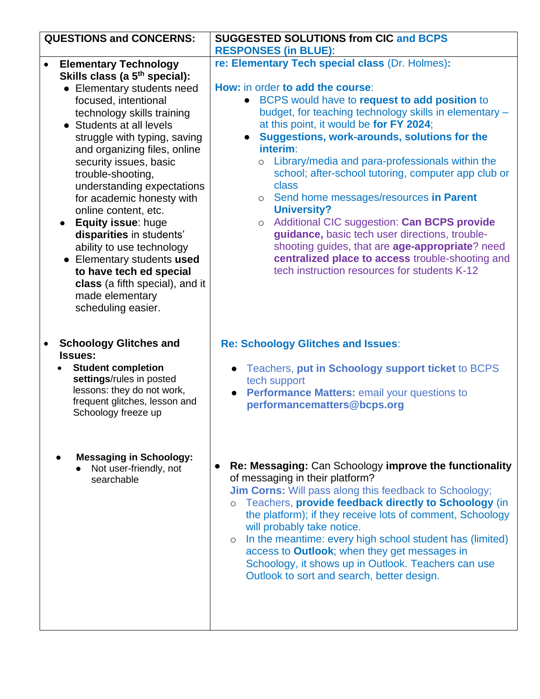| <b>QUESTIONS and CONCERNS:</b>                         | <b>SUGGESTED SOLUTIONS from CIC and BCPS</b>                                                                          |
|--------------------------------------------------------|-----------------------------------------------------------------------------------------------------------------------|
|                                                        | <b>RESPONSES (in BLUE):</b>                                                                                           |
| <b>Elementary Technology</b><br>$\bullet$              | re: Elementary Tech special class (Dr. Holmes):                                                                       |
| Skills class (a 5 <sup>th</sup> special):              |                                                                                                                       |
| • Elementary students need                             | How: in order to add the course:                                                                                      |
| focused, intentional                                   | BCPS would have to request to add position to<br>$\bullet$                                                            |
| technology skills training                             | budget, for teaching technology skills in elementary -                                                                |
| • Students at all levels                               | at this point, it would be for FY 2024;                                                                               |
| struggle with typing, saving                           | Suggestions, work-arounds, solutions for the<br>$\bullet$<br>interim:                                                 |
| and organizing files, online<br>security issues, basic | o Library/media and para-professionals within the                                                                     |
| trouble-shooting,                                      | school; after-school tutoring, computer app club or                                                                   |
| understanding expectations                             | class                                                                                                                 |
| for academic honesty with                              | o Send home messages/resources in Parent                                                                              |
| online content, etc.                                   | <b>University?</b>                                                                                                    |
| Equity issue: huge                                     | Additional CIC suggestion: Can BCPS provide<br>$\circ$                                                                |
| disparities in students'                               | guidance, basic tech user directions, trouble-                                                                        |
| ability to use technology                              | shooting guides, that are age-appropriate? need                                                                       |
| • Elementary students used                             | centralized place to access trouble-shooting and                                                                      |
| to have tech ed special                                | tech instruction resources for students K-12                                                                          |
| class (a fifth special), and it                        |                                                                                                                       |
| made elementary                                        |                                                                                                                       |
| scheduling easier.                                     |                                                                                                                       |
|                                                        |                                                                                                                       |
| <b>Schoology Glitches and</b>                          | <b>Re: Schoology Glitches and Issues:</b>                                                                             |
| <b>Issues:</b>                                         |                                                                                                                       |
| <b>Student completion</b>                              | Teachers, put in Schoology support ticket to BCPS<br>$\bullet$                                                        |
| settings/rules in posted                               | tech support                                                                                                          |
| lessons: they do not work,                             | Performance Matters: email your questions to<br>$\bullet$                                                             |
| frequent glitches, lesson and                          | performancematters@bcps.org                                                                                           |
| Schoology freeze up                                    |                                                                                                                       |
|                                                        |                                                                                                                       |
|                                                        |                                                                                                                       |
| <b>Messaging in Schoology:</b>                         |                                                                                                                       |
| Not user-friendly, not                                 | Re: Messaging: Can Schoology improve the functionality<br>$\bullet$                                                   |
| searchable                                             | of messaging in their platform?                                                                                       |
|                                                        | <b>Jim Corns:</b> Will pass along this feedback to Schoology;<br>Teachers, provide feedback directly to Schoology (in |
|                                                        | $\circ$<br>the platform); if they receive lots of comment, Schoology                                                  |
|                                                        | will probably take notice.                                                                                            |
|                                                        | In the meantime: every high school student has (limited)<br>$\circ$                                                   |
|                                                        | access to Outlook; when they get messages in                                                                          |
|                                                        | Schoology, it shows up in Outlook. Teachers can use                                                                   |
|                                                        | Outlook to sort and search, better design.                                                                            |
|                                                        |                                                                                                                       |
|                                                        |                                                                                                                       |
|                                                        |                                                                                                                       |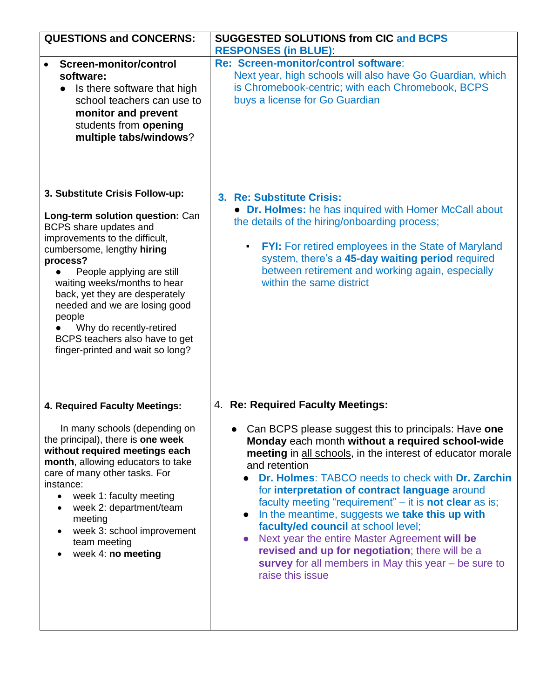| <b>SUGGESTED SOLUTIONS from CIC and BCPS</b>                                                                                                                                                                                                                                                                                                                                                                                                                                                                                                                                                                                                                  |
|---------------------------------------------------------------------------------------------------------------------------------------------------------------------------------------------------------------------------------------------------------------------------------------------------------------------------------------------------------------------------------------------------------------------------------------------------------------------------------------------------------------------------------------------------------------------------------------------------------------------------------------------------------------|
| <b>RESPONSES (in BLUE):</b>                                                                                                                                                                                                                                                                                                                                                                                                                                                                                                                                                                                                                                   |
| Re: Screen-monitor/control software:<br>Next year, high schools will also have Go Guardian, which<br>is Chromebook-centric; with each Chromebook, BCPS<br>buys a license for Go Guardian                                                                                                                                                                                                                                                                                                                                                                                                                                                                      |
| 3. Re: Substitute Crisis:<br>• Dr. Holmes: he has inquired with Homer McCall about<br>the details of the hiring/onboarding process;                                                                                                                                                                                                                                                                                                                                                                                                                                                                                                                           |
| <b>FYI:</b> For retired employees in the State of Maryland<br>$\blacksquare$<br>system, there's a 45-day waiting period required<br>between retirement and working again, especially<br>within the same district                                                                                                                                                                                                                                                                                                                                                                                                                                              |
| 4. Re: Required Faculty Meetings:                                                                                                                                                                                                                                                                                                                                                                                                                                                                                                                                                                                                                             |
| Can BCPS please suggest this to principals: Have one<br>Monday each month without a required school-wide<br>meeting in all schools, in the interest of educator morale<br>and retention<br>Dr. Holmes: TABCO needs to check with Dr. Zarchin<br>for interpretation of contract language around<br>faculty meeting "requirement" - it is not clear as is;<br>In the meantime, suggests we take this up with<br>$\bullet$<br>faculty/ed council at school level;<br>Next year the entire Master Agreement will be<br>$\bullet$<br>revised and up for negotiation; there will be a<br>survey for all members in May this year $-$ be sure to<br>raise this issue |
|                                                                                                                                                                                                                                                                                                                                                                                                                                                                                                                                                                                                                                                               |